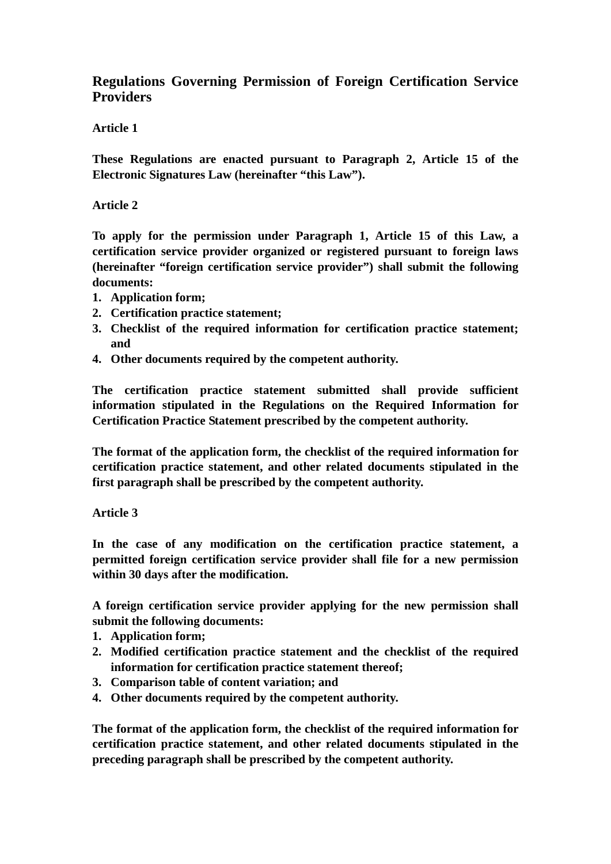# **Regulations Governing Permission of Foreign Certification Service Providers**

# **Article 1**

**These Regulations are enacted pursuant to Paragraph 2, Article 15 of the Electronic Signatures Law (hereinafter "this Law").**

# **Article 2**

**To apply for the permission under Paragraph 1, Article 15 of this Law, a certification service provider organized or registered pursuant to foreign laws (hereinafter "foreign certification service provider") shall submit the following documents:**

- **1. Application form;**
- **2. Certification practice statement;**
- **3. Checklist of the required information for certification practice statement; and**
- **4. Other documents required by the competent authority.**

**The certification practice statement submitted shall provide sufficient information stipulated in the Regulations on the Required Information for Certification Practice Statement prescribed by the competent authority.**

**The format of the application form, the checklist of the required information for certification practice statement, and other related documents stipulated in the first paragraph shall be prescribed by the competent authority.**

## **Article 3**

**In the case of any modification on the certification practice statement, a permitted foreign certification service provider shall file for a new permission within 30 days after the modification.**

**A foreign certification service provider applying for the new permission shall submit the following documents:**

- **1. Application form;**
- **2. Modified certification practice statement and the checklist of the required information for certification practice statement thereof;**
- **3. Comparison table of content variation; and**
- **4. Other documents required by the competent authority.**

**The format of the application form, the checklist of the required information for certification practice statement, and other related documents stipulated in the preceding paragraph shall be prescribed by the competent authority.**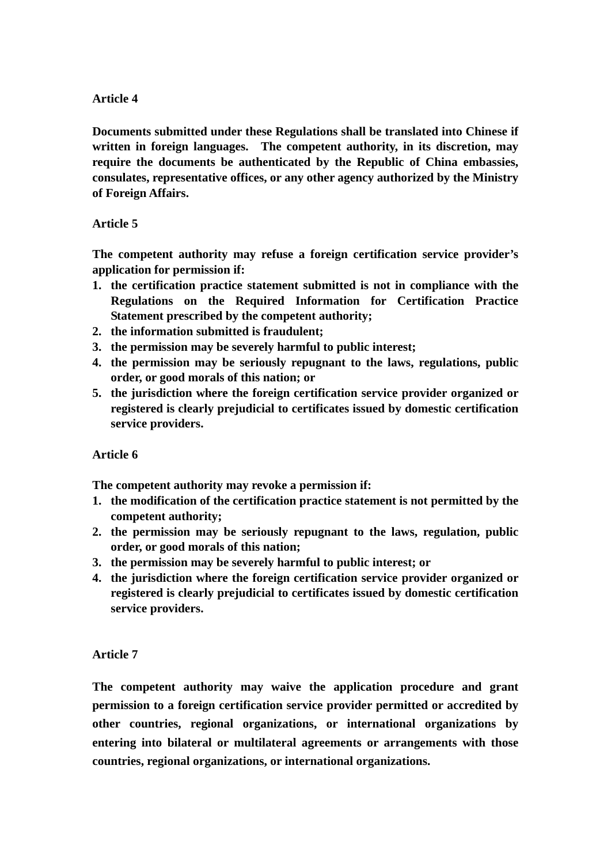#### **Article 4**

**Documents submitted under these Regulations shall be translated into Chinese if written in foreign languages. The competent authority, in its discretion, may require the documents be authenticated by the Republic of China embassies, consulates, representative offices, or any other agency authorized by the Ministry of Foreign Affairs.**

## **Article 5**

**The competent authority may refuse a foreign certification service provider's application for permission if:**

- **1. the certification practice statement submitted is not in compliance with the Regulations on the Required Information for Certification Practice Statement prescribed by the competent authority;**
- **2. the information submitted is fraudulent;**
- **3. the permission may be severely harmful to public interest;**
- **4. the permission may be seriously repugnant to the laws, regulations, public order, or good morals of this nation; or**
- **5. the jurisdiction where the foreign certification service provider organized or registered is clearly prejudicial to certificates issued by domestic certification service providers.**

## **Article 6**

**The competent authority may revoke a permission if:**

- **1. the modification of the certification practice statement is not permitted by the competent authority;**
- **2. the permission may be seriously repugnant to the laws, regulation, public order, or good morals of this nation;**
- **3. the permission may be severely harmful to public interest; or**
- **4. the jurisdiction where the foreign certification service provider organized or registered is clearly prejudicial to certificates issued by domestic certification service providers.**

## **Article 7**

**The competent authority may waive the application procedure and grant permission to a foreign certification service provider permitted or accredited by other countries, regional organizations, or international organizations by entering into bilateral or multilateral agreements or arrangements with those countries, regional organizations, or international organizations.**